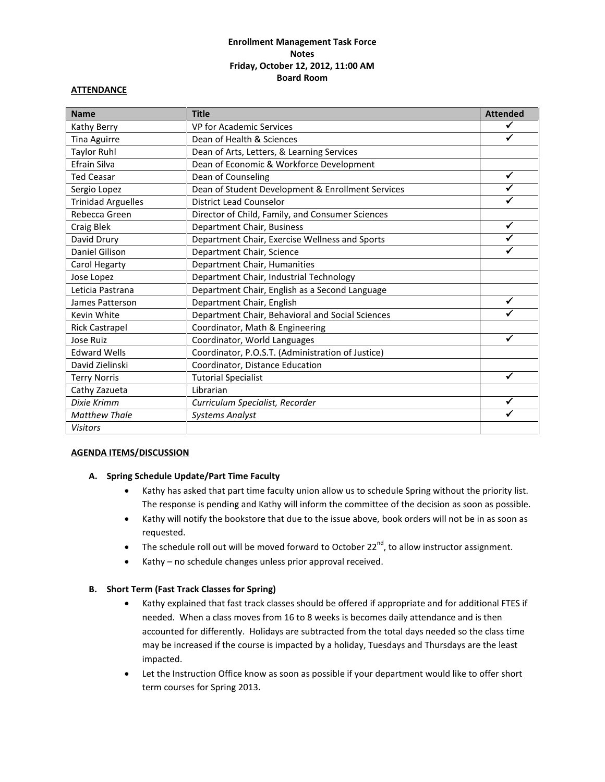## **Enrollment Management Task Force Notes Friday, October 12, 2012, 11:00 AM Board Room**

#### **ATTENDANCE**

| <b>Name</b>               | <b>Title</b>                                      | <b>Attended</b> |
|---------------------------|---------------------------------------------------|-----------------|
| Kathy Berry               | VP for Academic Services                          |                 |
| Tina Aguirre              | Dean of Health & Sciences                         | ✓               |
| <b>Taylor Ruhl</b>        | Dean of Arts, Letters, & Learning Services        |                 |
| Efrain Silva              | Dean of Economic & Workforce Development          |                 |
| <b>Ted Ceasar</b>         | Dean of Counseling                                | ✓               |
| Sergio Lopez              | Dean of Student Development & Enrollment Services |                 |
| <b>Trinidad Arguelles</b> | <b>District Lead Counselor</b>                    |                 |
| Rebecca Green             | Director of Child, Family, and Consumer Sciences  |                 |
| Craig Blek                | Department Chair, Business                        | ✓               |
| David Drury               | Department Chair, Exercise Wellness and Sports    |                 |
| Daniel Gilison            | Department Chair, Science                         | ✔               |
| Carol Hegarty             | Department Chair, Humanities                      |                 |
| Jose Lopez                | Department Chair, Industrial Technology           |                 |
| Leticia Pastrana          | Department Chair, English as a Second Language    |                 |
| James Patterson           | Department Chair, English                         | ✓               |
| Kevin White               | Department Chair, Behavioral and Social Sciences  |                 |
| <b>Rick Castrapel</b>     | Coordinator, Math & Engineering                   |                 |
| Jose Ruiz                 | Coordinator, World Languages                      | ✓               |
| <b>Edward Wells</b>       | Coordinator, P.O.S.T. (Administration of Justice) |                 |
| David Zielinski           | Coordinator, Distance Education                   |                 |
| <b>Terry Norris</b>       | <b>Tutorial Specialist</b>                        | ✓               |
| Cathy Zazueta             | Librarian                                         |                 |
| Dixie Krimm               | Curriculum Specialist, Recorder                   | ✓               |
| <b>Matthew Thale</b>      | <b>Systems Analyst</b>                            | ✓               |
| <b>Visitors</b>           |                                                   |                 |

## **AGENDA ITEMS/DISCUSSION**

#### **A. Spring Schedule Update/Part Time Faculty**

- Kathy has asked that part time faculty union allow us to schedule Spring without the priority list. The response is pending and Kathy will inform the committee of the decision as soon as possible.
- Kathy will notify the bookstore that due to the issue above, book orders will not be in as soon as requested.
- The schedule roll out will be moved forward to October 22<sup>nd</sup>, to allow instructor assignment.
- Kathy no schedule changes unless prior approval received.

#### **B. Short Term (Fast Track Classes for Spring)**

- Kathy explained that fast track classes should be offered if appropriate and for additional FTES if needed. When a class moves from 16 to 8 weeks is becomes daily attendance and is then accounted for differently. Holidays are subtracted from the total days needed so the class time may be increased if the course is impacted by a holiday, Tuesdays and Thursdays are the least impacted.
- Let the Instruction Office know as soon as possible if your department would like to offer short term courses for Spring 2013.